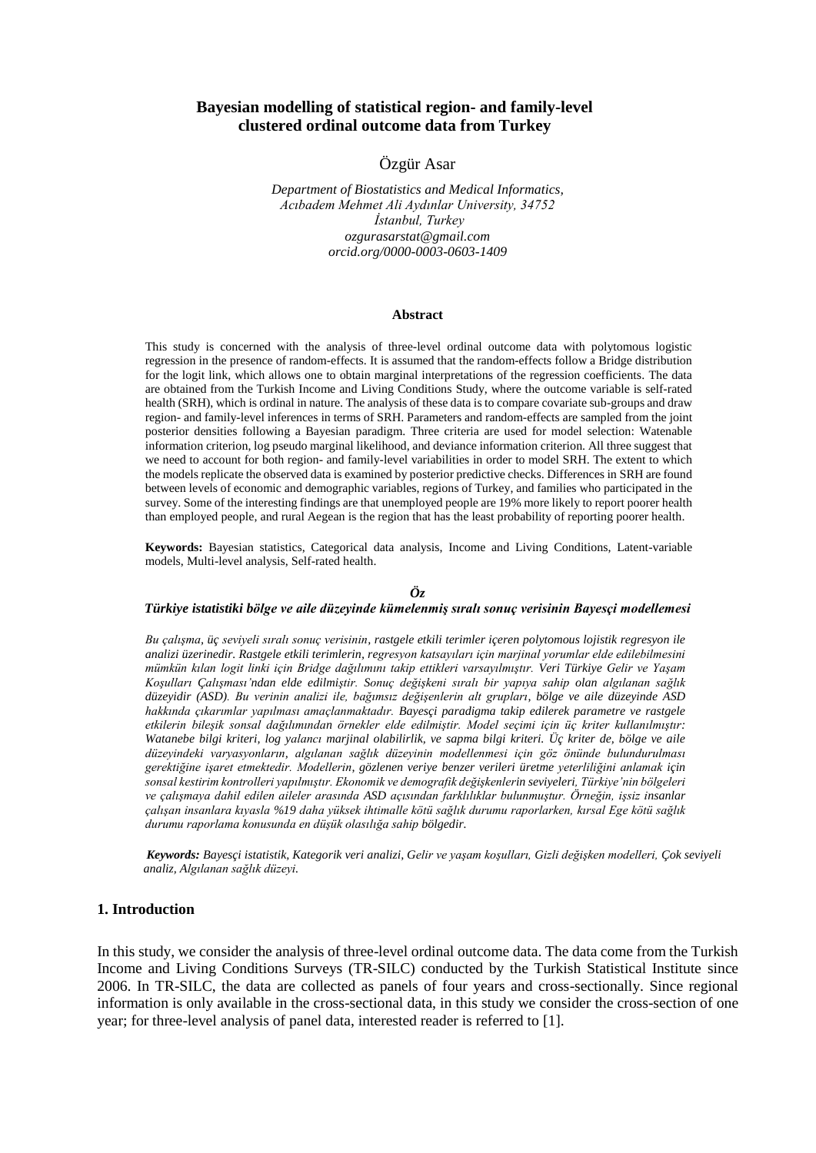# **Bayesian modelling of statistical region- and family-level clustered ordinal outcome data from Turkey**

# Özgür Asar

*Department of Biostatistics and Medical Informatics, Acıbadem Mehmet Ali Aydınlar University, 34752 İstanbul, Turkey ozgurasarstat@gmail.com orcid.org/0000-0003-0603-1409*

#### **Abstract**

This study is concerned with the analysis of three-level ordinal outcome data with polytomous logistic regression in the presence of random-effects. It is assumed that the random-effects follow a Bridge distribution for the logit link, which allows one to obtain marginal interpretations of the regression coefficients. The data are obtained from the Turkish Income and Living Conditions Study, where the outcome variable is self-rated health (SRH), which is ordinal in nature. The analysis of these data is to compare covariate sub-groups and draw region- and family-level inferences in terms of SRH. Parameters and random-effects are sampled from the joint posterior densities following a Bayesian paradigm. Three criteria are used for model selection: Watenable information criterion, log pseudo marginal likelihood, and deviance information criterion. All three suggest that we need to account for both region- and family-level variabilities in order to model SRH. The extent to which the models replicate the observed data is examined by posterior predictive checks. Differences in SRH are found between levels of economic and demographic variables, regions of Turkey, and families who participated in the survey. Some of the interesting findings are that unemployed people are 19% more likely to report poorer health than employed people, and rural Aegean is the region that has the least probability of reporting poorer health.

**Keywords:** Bayesian statistics, Categorical data analysis, Income and Living Conditions, Latent-variable models, Multi-level analysis, Self-rated health.

# *Öz*

#### *Türkiye istatistiki bölge ve aile düzeyinde kümelenmiş sıralı sonuç verisinin Bayesçi modellemesi*

*Bu çalışma, üç seviyeli sıralı sonuç verisinin, rastgele etkili terimler içeren polytomous lojistik regresyon ile analizi üzerinedir. Rastgele etkili terimlerin, regresyon katsayıları için marjinal yorumlar elde edilebilmesini mümkün kılan logit linki için Bridge dağılımını takip ettikleri varsayılmıştır. Veri Türkiye Gelir ve Yaşam Koşulları Çalışması'ndan elde edilmiştir. Sonuç değişkeni sıralı bir yapıya sahip olan algılanan sağlık düzeyidir (ASD). Bu verinin analizi ile, bağımsız değişenlerin alt grupları, bölge ve aile düzeyinde ASD hakkında çıkarımlar yapılması amaçlanmaktadır. Bayesçi paradigma takip edilerek parametre ve rastgele etkilerin bileşik sonsal dağılımından örnekler elde edilmiştir. Model seçimi için üç kriter kullanılmıştır: Watanebe bilgi kriteri, log yalancı marjinal olabilirlik, ve sapma bilgi kriteri. Üç kriter de, bölge ve aile düzeyindeki varyasyonların, algılanan sağlık düzeyinin modellenmesi için göz önünde bulundurulması gerektiğine işaret etmektedir. Modellerin, gözlenen veriye benzer verileri üretme yeterliliğini anlamak için sonsal kestirim kontrolleri yapılmıştır. Ekonomik ve demografik değişkenlerin seviyeleri, Türkiye'nin bölgeleri ve çalışmaya dahil edilen aileler arasında ASD açısından farklılıklar bulunmuştur. Örneğin, işsiz insanlar çalışan insanlara kıyasla %19 daha yüksek ihtimalle kötü sağlık durumu raporlarken, kırsal Ege kötü sağlık durumu raporlama konusunda en düşük olasılığa sahip bölgedir.*

*Keywords: Bayesçi istatistik, Kategorik veri analizi, Gelir ve yaşam koşulları, Gizli değişken modelleri, Çok seviyeli analiz, Algılanan sağlık düzeyi.* 

#### **1. Introduction**

In this study, we consider the analysis of three-level ordinal outcome data. The data come from the Turkish Income and Living Conditions Surveys (TR-SILC) conducted by the Turkish Statistical Institute since 2006. In TR-SILC, the data are collected as panels of four years and cross-sectionally. Since regional information is only available in the cross-sectional data, in this study we consider the cross-section of one year; for three-level analysis of panel data, interested reader is referred to [1].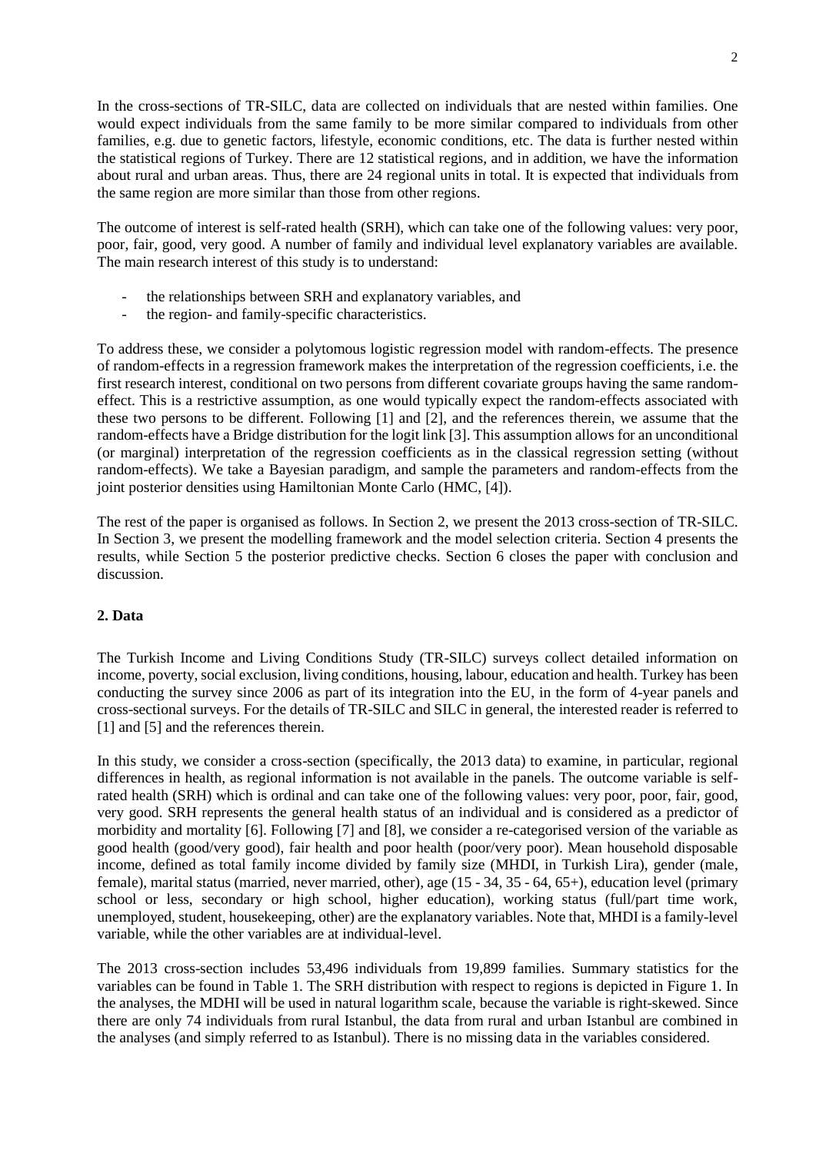In the cross-sections of TR-SILC, data are collected on individuals that are nested within families. One would expect individuals from the same family to be more similar compared to individuals from other families, e.g. due to genetic factors, lifestyle, economic conditions, etc. The data is further nested within the statistical regions of Turkey. There are 12 statistical regions, and in addition, we have the information about rural and urban areas. Thus, there are 24 regional units in total. It is expected that individuals from the same region are more similar than those from other regions.

The outcome of interest is self-rated health (SRH), which can take one of the following values: very poor, poor, fair, good, very good. A number of family and individual level explanatory variables are available. The main research interest of this study is to understand:

- the relationships between SRH and explanatory variables, and
- the region- and family-specific characteristics.

To address these, we consider a polytomous logistic regression model with random-effects. The presence of random-effects in a regression framework makes the interpretation of the regression coefficients, i.e. the first research interest, conditional on two persons from different covariate groups having the same randomeffect. This is a restrictive assumption, as one would typically expect the random-effects associated with these two persons to be different. Following [1] and [2], and the references therein, we assume that the random-effects have a Bridge distribution for the logit link [3]. This assumption allows for an unconditional (or marginal) interpretation of the regression coefficients as in the classical regression setting (without random-effects). We take a Bayesian paradigm, and sample the parameters and random-effects from the joint posterior densities using Hamiltonian Monte Carlo (HMC, [4]).

The rest of the paper is organised as follows. In Section 2, we present the 2013 cross-section of TR-SILC. In Section 3, we present the modelling framework and the model selection criteria. Section 4 presents the results, while Section 5 the posterior predictive checks. Section 6 closes the paper with conclusion and discussion.

# **2. Data**

The Turkish Income and Living Conditions Study (TR-SILC) surveys collect detailed information on income, poverty, social exclusion, living conditions, housing, labour, education and health. Turkey has been conducting the survey since 2006 as part of its integration into the EU, in the form of 4-year panels and cross-sectional surveys. For the details of TR-SILC and SILC in general, the interested reader is referred to [1] and [5] and the references therein.

In this study, we consider a cross-section (specifically, the 2013 data) to examine, in particular, regional differences in health, as regional information is not available in the panels. The outcome variable is selfrated health (SRH) which is ordinal and can take one of the following values: very poor, poor, fair, good, very good. SRH represents the general health status of an individual and is considered as a predictor of morbidity and mortality [6]. Following [7] and [8], we consider a re-categorised version of the variable as good health (good/very good), fair health and poor health (poor/very poor). Mean household disposable income, defined as total family income divided by family size (MHDI, in Turkish Lira), gender (male, female), marital status (married, never married, other), age (15 - 34, 35 - 64, 65+), education level (primary school or less, secondary or high school, higher education), working status (full/part time work, unemployed, student, housekeeping, other) are the explanatory variables. Note that, MHDI is a family-level variable, while the other variables are at individual-level.

The 2013 cross-section includes 53,496 individuals from 19,899 families. Summary statistics for the variables can be found in Table 1. The SRH distribution with respect to regions is depicted in Figure 1. In the analyses, the MDHI will be used in natural logarithm scale, because the variable is right-skewed. Since there are only 74 individuals from rural Istanbul, the data from rural and urban Istanbul are combined in the analyses (and simply referred to as Istanbul). There is no missing data in the variables considered.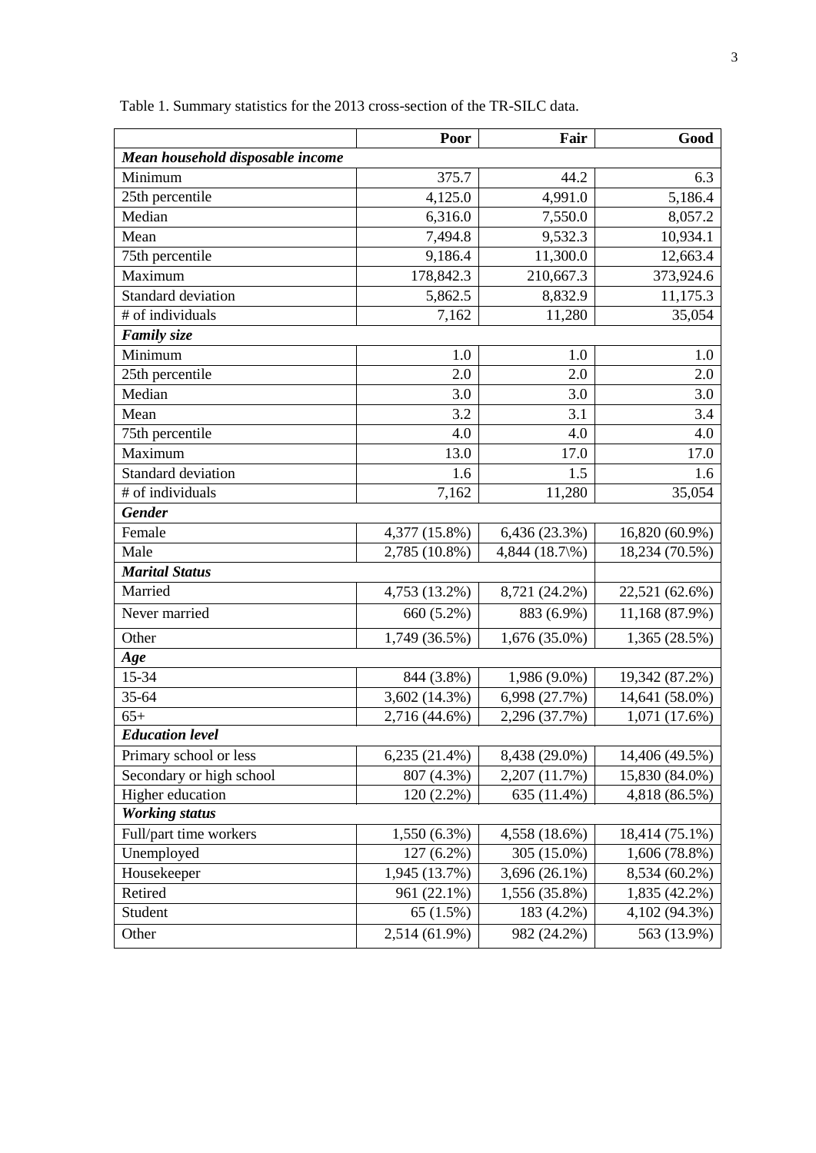|                                  | Poor           | Fair             | Good           |
|----------------------------------|----------------|------------------|----------------|
| Mean household disposable income |                |                  |                |
| Minimum                          | 375.7          | 44.2             | 6.3            |
| 25th percentile                  | 4,125.0        | 4,991.0          | 5,186.4        |
| Median                           | 6,316.0        | 7,550.0          | 8,057.2        |
| Mean                             | 7,494.8        | 9,532.3          | 10,934.1       |
| 75th percentile                  | 9,186.4        | 11,300.0         | 12,663.4       |
| Maximum                          | 178,842.3      | 210,667.3        | 373,924.6      |
| Standard deviation               | 5,862.5        | 8,832.9          | 11,175.3       |
| # of individuals                 | 7,162          | 11,280           | 35,054         |
| <b>Family size</b>               |                |                  |                |
| Minimum                          | 1.0            | 1.0              | 1.0            |
| 25th percentile                  | 2.0            | 2.0              | 2.0            |
| Median                           | 3.0            | 3.0              | 3.0            |
| Mean                             | 3.2            | 3.1              | 3.4            |
| 75th percentile                  | 4.0            | 4.0              | 4.0            |
| Maximum                          | 13.0           | 17.0             | 17.0           |
| Standard deviation               | 1.6            | 1.5              | 1.6            |
| # of individuals                 | 7,162          | 11,280           | 35,054         |
| <b>Gender</b>                    |                |                  |                |
| Female                           | 4,377 (15.8%)  | 6,436 (23.3%)    | 16,820 (60.9%) |
| Male                             | 2,785 (10.8%)  | 4,844 $(18.7\%)$ | 18,234 (70.5%) |
| <b>Marital Status</b>            |                |                  |                |
| Married                          | 4,753 (13.2%)  | 8,721 (24.2%)    | 22,521 (62.6%) |
| Never married                    | 660 (5.2%)     | 883 (6.9%)       | 11,168 (87.9%) |
| Other                            | 1,749 (36.5%)  | $1,676(35.0\%)$  | 1,365 (28.5%)  |
| Age                              |                |                  |                |
| 15-34                            | 844 (3.8%)     | 1,986 (9.0%)     | 19,342 (87.2%) |
| 35-64                            | 3,602 (14.3%)  | 6,998 (27.7%)    | 14,641 (58.0%) |
| $65+$                            | 2,716 (44.6%)  | 2,296 (37.7%)    | 1,071(17.6%)   |
| <b>Education level</b>           |                |                  |                |
| Primary school or less           | 6,235(21.4%)   | 8,438 (29.0%)    | 14,406 (49.5%) |
| Secondary or high school         | 807 (4.3%)     | 2,207 (11.7%)    | 15,830 (84.0%) |
| Higher education                 | 120 (2.2%)     | 635 (11.4%)      | 4,818 (86.5%)  |
| <b>Working status</b>            |                |                  |                |
| Full/part time workers           | $1,550(6.3\%)$ | 4,558 (18.6%)    | 18,414 (75.1%) |
| Unemployed                       | 127 (6.2%)     | 305 (15.0%)      | 1,606 (78.8%)  |
| Housekeeper                      | 1,945 (13.7%)  | $3,696(26.1\%)$  | 8,534 (60.2%)  |
| Retired                          | 961 (22.1%)    | 1,556 (35.8%)    | 1,835 (42.2%)  |
| Student                          | 65 (1.5%)      | 183 (4.2%)       | 4,102 (94.3%)  |
| Other                            | 2,514 (61.9%)  | 982 (24.2%)      | 563 (13.9%)    |

Table 1. Summary statistics for the 2013 cross-section of the TR-SILC data.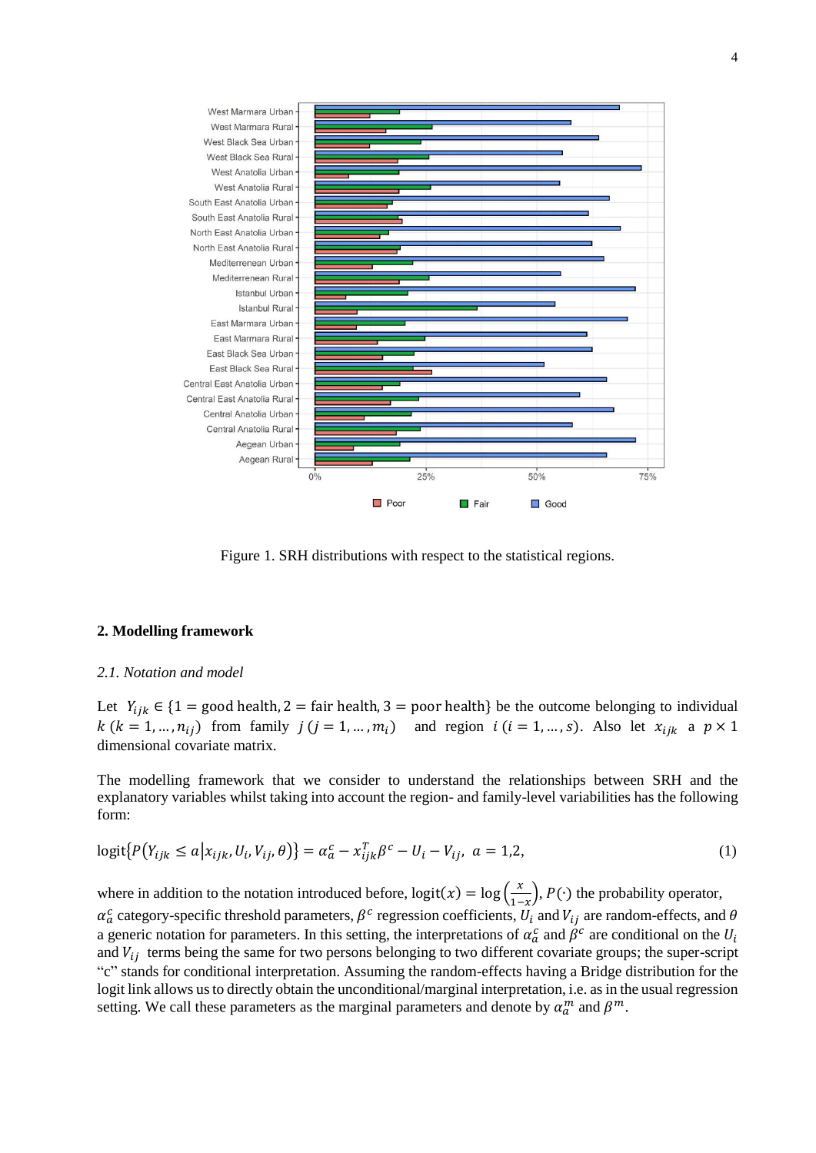

Figure 1. SRH distributions with respect to the statistical regions.

### **2. Modelling framework**

#### *2.1. Notation and model*

Let  $Y_{ijk} \in \{1 = \text{good health}, 2 = \text{fair health}, 3 = \text{poor health}\}$  be the outcome belonging to individual  $k (k = 1, ..., n_{ij})$  from family  $j (j = 1, ..., m_i)$  and region  $i (i = 1, ..., s)$ . Also let  $x_{ijk}$  a  $p \times 1$ dimensional covariate matrix.

The modelling framework that we consider to understand the relationships between SRH and the explanatory variables whilst taking into account the region- and family-level variabilities has the following form:

$$
logit\{P(Y_{ijk} \le a | x_{ijk}, U_i, V_{ij}, \theta)\} = \alpha_a^c - x_{ijk}^T \beta^c - U_i - V_{ij}, \ a = 1, 2,
$$
\n(1)

where in addition to the notation introduced before,  $logit(x) = log(\frac{x}{x})$  $\frac{x}{1-x}$ ,  $P(\cdot)$  the probability operator,  $\alpha_a^c$  category-specific threshold parameters,  $\beta^c$  regression coefficients,  $U_i$  and  $V_{ij}$  are random-effects, and  $\theta$ a generic notation for parameters. In this setting, the interpretations of  $\alpha_a^c$  and  $\beta^c$  are conditional on the  $U_i$ and  $V_{ij}$  terms being the same for two persons belonging to two different covariate groups; the super-script "c" stands for conditional interpretation. Assuming the random-effects having a Bridge distribution for the logit link allows us to directly obtain the unconditional/marginal interpretation, i.e. as in the usual regression setting. We call these parameters as the marginal parameters and denote by  $\alpha_a^m$  and  $\beta^m$ .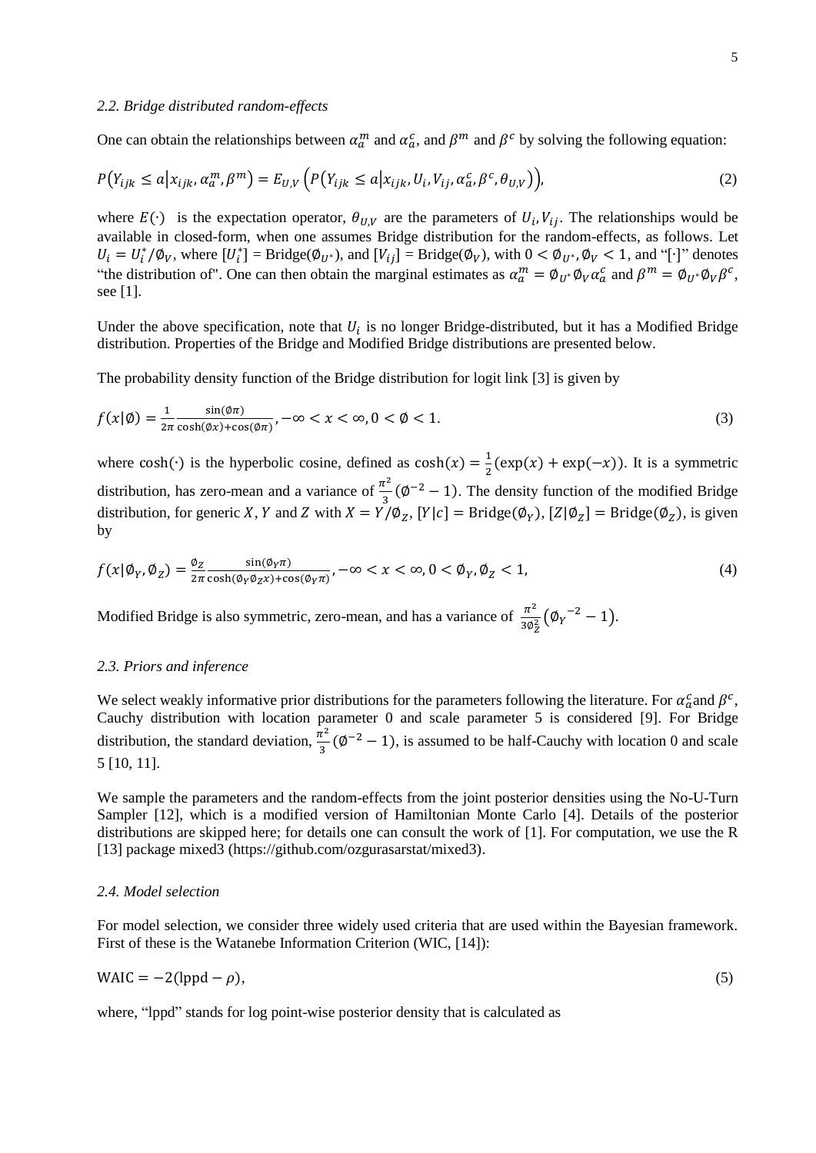One can obtain the relationships between  $\alpha_n^m$  and  $\alpha_a^c$ , and  $\beta^m$  and  $\beta^c$  by solving the following equation:

$$
P(Y_{ijk} \le a | x_{ijk}, \alpha_a^m, \beta^m) = E_{U,V} \left( P(Y_{ijk} \le a | x_{ijk}, U_i, V_{ij}, \alpha_a^c, \beta^c, \theta_{U,V}) \right),\tag{2}
$$

where  $E(\cdot)$  is the expectation operator,  $\theta_{U,V}$  are the parameters of  $U_i, V_{ij}$ . The relationships would be available in closed-form, when one assumes Bridge distribution for the random-effects, as follows. Let  $U_i = U_i^* / \mathcal{O}_V$ , where  $[U_i^*] = \text{Bridge}(\mathcal{O}_{U^*})$ , and  $[V_{ij}] = \text{Bridge}(\mathcal{O}_V)$ , with  $0 < \mathcal{O}_{U^*}, \mathcal{O}_V < 1$ , and "[·]" denotes "the distribution of". One can then obtain the marginal estimates as  $\alpha_a^m = \phi_{U^*} \phi_V \alpha_a^c$  and  $\beta^m = \phi_{U^*} \phi_V \beta^c$ , see [1].

Under the above specification, note that  $U_i$  is no longer Bridge-distributed, but it has a Modified Bridge distribution. Properties of the Bridge and Modified Bridge distributions are presented below.

The probability density function of the Bridge distribution for logit link [3] is given by

$$
f(x|\emptyset) = \frac{1}{2\pi} \frac{\sin(\emptyset \pi)}{\cosh(\emptyset x) + \cos(\emptyset \pi)}, -\infty < x < \infty, 0 < \emptyset < 1. \tag{3}
$$

where  $cosh(·)$  is the hyperbolic cosine, defined as  $cosh(x) = \frac{1}{2}$  $\frac{1}{2}$ (exp(x) + exp(-x)). It is a symmetric distribution, has zero-mean and a variance of  $\frac{\pi^2}{2}$  $\frac{\tau^2}{3}$  ( $\phi^{-2}$  – 1). The density function of the modified Bridge distribution, for generic X, Y and Z with  $X = Y/\emptyset_Z$ ,  $[Y|c] =$  Bridge( $\emptyset_Y$ ),  $[Z|\emptyset_Z] =$  Bridge( $\emptyset_Z$ ), is given by

$$
f(x|\phi_Y, \phi_Z) = \frac{\phi_Z}{2\pi} \frac{\sin(\phi_Y \pi)}{\cosh(\phi_Y \phi_Z x) + \cos(\phi_Y \pi)}, -\infty < x < \infty, 0 < \phi_Y, \phi_Z < 1,\tag{4}
$$

Modified Bridge is also symmetric, zero-mean, and has a variance of  $\frac{\pi^2}{20}$  $rac{\pi^2}{3\phi_Z^2}(\phi_Y^{\,-2}-1).$ 

#### *2.3. Priors and inference*

We select weakly informative prior distributions for the parameters following the literature. For  $\alpha_a^c$  and  $\beta^c$ , Cauchy distribution with location parameter 0 and scale parameter 5 is considered [9]. For Bridge distribution, the standard deviation,  $\frac{\pi^2}{2}$  $\frac{\tau^2}{3}$  ( $\phi^{-2}$  – 1), is assumed to be half-Cauchy with location 0 and scale 5 [10, 11].

We sample the parameters and the random-effects from the joint posterior densities using the No-U-Turn Sampler [12], which is a modified version of Hamiltonian Monte Carlo [4]. Details of the posterior distributions are skipped here; for details one can consult the work of [1]. For computation, we use the R [13] package mixed3 (https://github.com/ozgurasarstat/mixed3).

## *2.4. Model selection*

For model selection, we consider three widely used criteria that are used within the Bayesian framework. First of these is the Watanebe Information Criterion (WIC, [14]):

$$
WAIC = -2(\text{lppd} - \rho),\tag{5}
$$

where, "lppd" stands for log point-wise posterior density that is calculated as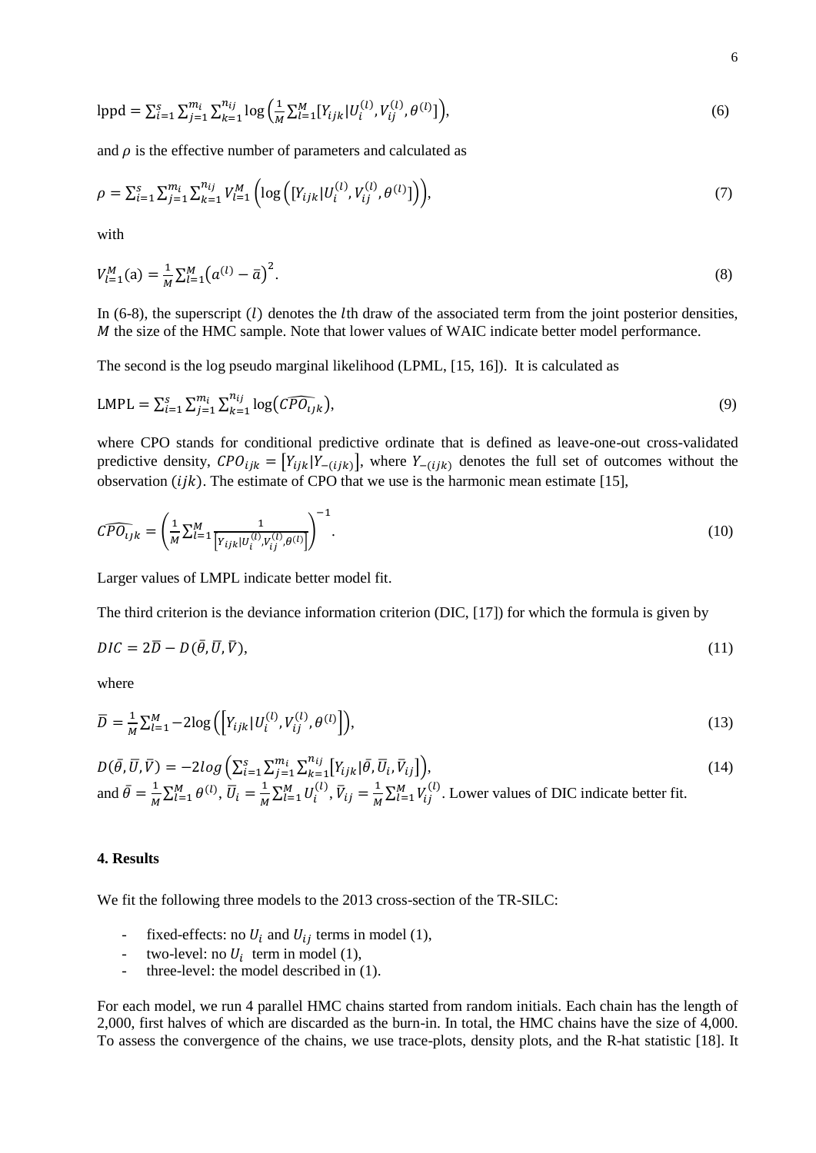$$
1 \text{ppd} = \sum_{i=1}^{S} \sum_{j=1}^{m_i} \sum_{k=1}^{n_{ij}} \log \left( \frac{1}{M} \sum_{l=1}^{M} [Y_{ijk} | U_i^{(l)}, V_{ij}^{(l)}, \theta^{(l)}] \right),\tag{6}
$$

and  $\rho$  is the effective number of parameters and calculated as

$$
\rho = \sum_{i=1}^{s} \sum_{j=1}^{m_i} \sum_{k=1}^{n_{ij}} V_{l=1}^{M} \left( \log \left( [Y_{ijk} | U_i^{(l)}, V_{ij}^{(l)}, \theta^{(l)} ] \right) \right), \tag{7}
$$

with

$$
V_{l=1}^{M}(a) = \frac{1}{M} \sum_{l=1}^{M} (a^{(l)} - \bar{a})^{2}.
$$
\n(8)

In (6-8), the superscript  $(l)$  denotes the lth draw of the associated term from the joint posterior densities,  *the size of the HMC sample. Note that lower values of WAIC indicate better model performance.* 

The second is the log pseudo marginal likelihood (LPML, [15, 16]). It is calculated as

$$
LMPL = \sum_{i=1}^{s} \sum_{j=1}^{m_i} \sum_{k=1}^{n_{ij}} \log\left(\widehat{CPO_{ijk}}\right),\tag{9}
$$

where CPO stands for conditional predictive ordinate that is defined as leave-one-out cross-validated predictive density,  $CPO_{ijk} = [Y_{ijk}|Y_{-(ijk)}]$ , where  $Y_{-(ijk)}$  denotes the full set of outcomes without the observation  $(ijk)$ . The estimate of CPO that we use is the harmonic mean estimate [15],

$$
\widehat{CPO_{ijk}} = \left(\frac{1}{M} \sum_{l=1}^{M} \frac{1}{\left[Y_{ijk} | U_i^{(l)}, Y_{ij}^{(l)}, \theta^{(l)}\right]}\right)^{-1}.
$$
\n(10)

Larger values of LMPL indicate better model fit.

The third criterion is the deviance information criterion (DIC, [17]) for which the formula is given by

$$
DIC = 2\overline{D} - D(\overline{\theta}, \overline{U}, \overline{V}),\tag{11}
$$

where

$$
\overline{D} = \frac{1}{M} \sum_{l=1}^{M} -2 \log \left( \left[ Y_{ijk} | U_i^{(l)}, V_{ij}^{(l)}, \theta^{(l)} \right] \right),\tag{13}
$$

 $D(\bar{\theta}, \bar{U}, \bar{V}) = -2log\left(\sum_{i=1}^{S} \sum_{j=1}^{m_i} \sum_{k=1}^{n_{ij}} [Y_{ijk} | \bar{\theta}, \bar{U}_i, \bar{V}_{ij}] \right)$  $k=1$  $_{i=1}^{s} \sum_{j=1}^{m_i}$  $\,$  (14) and  $\bar{\theta} = \frac{1}{M}$  $\frac{1}{M}\sum_{l=1}^{M} \theta^{(l)}, \overline{U}_i = \frac{1}{M}$  $\frac{1}{M}\sum_{l=1}^{M}U_{i}^{(l)}, \bar{V}_{ij}=\frac{1}{M}$  $\frac{1}{M} \sum_{l=1}^{M} V_{lj}^{(l)}$ . Lower values of DIC indicate better fit.

#### **4. Results**

We fit the following three models to the 2013 cross-section of the TR-SILC:

- fixed-effects: no  $U_i$  and  $U_{ij}$  terms in model (1),
- two-level: no  $U_i$  term in model (1),
- three-level: the model described in  $(1)$ .

For each model, we run 4 parallel HMC chains started from random initials. Each chain has the length of 2,000, first halves of which are discarded as the burn-in. In total, the HMC chains have the size of 4,000. To assess the convergence of the chains, we use trace-plots, density plots, and the R-hat statistic [18]. It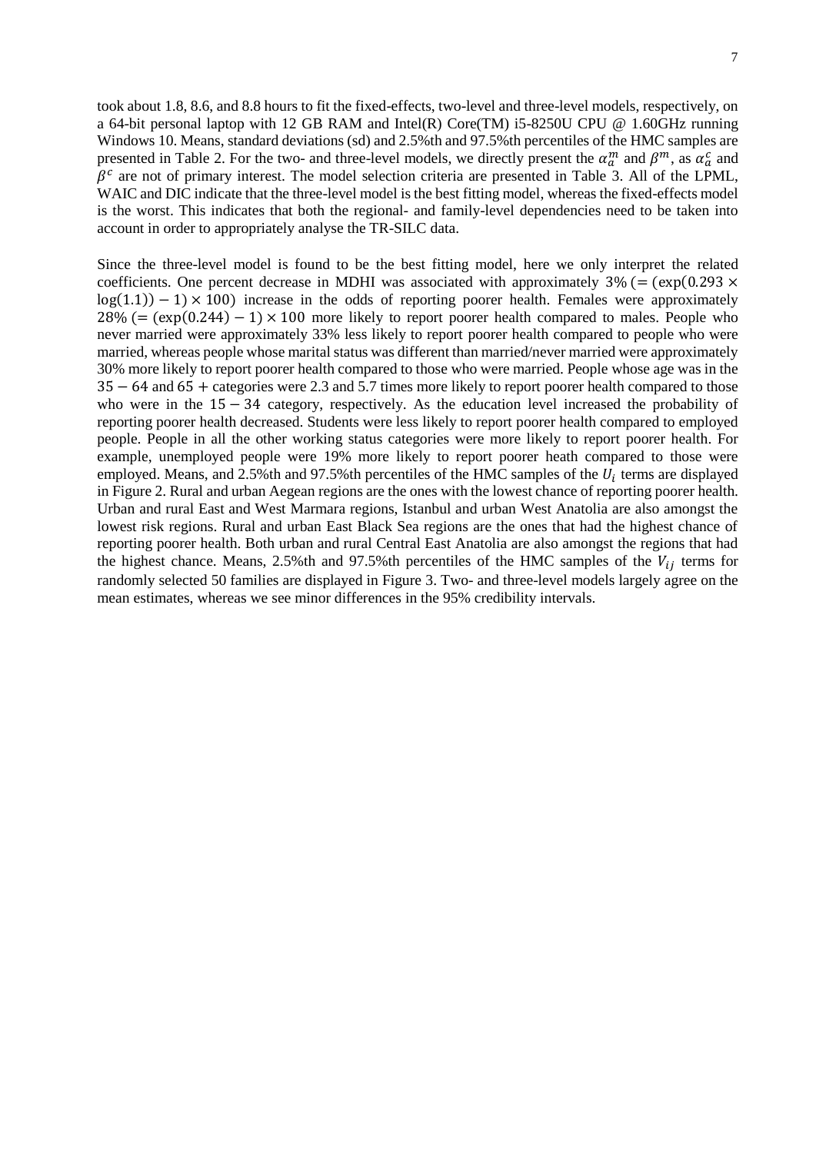took about 1.8, 8.6, and 8.8 hours to fit the fixed-effects, two-level and three-level models, respectively, on a 64-bit personal laptop with 12 GB RAM and Intel(R) Core(TM) i5-8250U CPU @ 1.60GHz running Windows 10. Means, standard deviations (sd) and 2.5%th and 97.5%th percentiles of the HMC samples are presented in Table 2. For the two- and three-level models, we directly present the  $\alpha_a^m$  and  $\beta^m$ , as  $\alpha_a^c$  and  $\beta^c$  are not of primary interest. The model selection criteria are presented in Table 3. All of the LPML, WAIC and DIC indicate that the three-level model is the best fitting model, whereas the fixed-effects model is the worst. This indicates that both the regional- and family-level dependencies need to be taken into account in order to appropriately analyse the TR-SILC data.

Since the three-level model is found to be the best fitting model, here we only interpret the related coefficients. One percent decrease in MDHI was associated with approximately  $3\%$  (= (exp(0.293  $\times$  $log(1.1) - 1 \times 100$ ) increase in the odds of reporting poorer health. Females were approximately  $28\%$  (= (exp(0.244) – 1) × 100 more likely to report poorer health compared to males. People who never married were approximately 33% less likely to report poorer health compared to people who were married, whereas people whose marital status was different than married/never married were approximately 30% more likely to report poorer health compared to those who were married. People whose age was in the 35 − 64 and 65 + categories were 2.3 and 5.7 times more likely to report poorer health compared to those who were in the 15 − 34 category, respectively. As the education level increased the probability of reporting poorer health decreased. Students were less likely to report poorer health compared to employed people. People in all the other working status categories were more likely to report poorer health. For example, unemployed people were 19% more likely to report poorer heath compared to those were employed. Means, and 2.5%th and 97.5%th percentiles of the HMC samples of the  $U_i$  terms are displayed in Figure 2. Rural and urban Aegean regions are the ones with the lowest chance of reporting poorer health. Urban and rural East and West Marmara regions, Istanbul and urban West Anatolia are also amongst the lowest risk regions. Rural and urban East Black Sea regions are the ones that had the highest chance of reporting poorer health. Both urban and rural Central East Anatolia are also amongst the regions that had the highest chance. Means, 2.5%th and 97.5%th percentiles of the HMC samples of the  $V_{ij}$  terms for randomly selected 50 families are displayed in Figure 3. Two- and three-level models largely agree on the mean estimates, whereas we see minor differences in the 95% credibility intervals.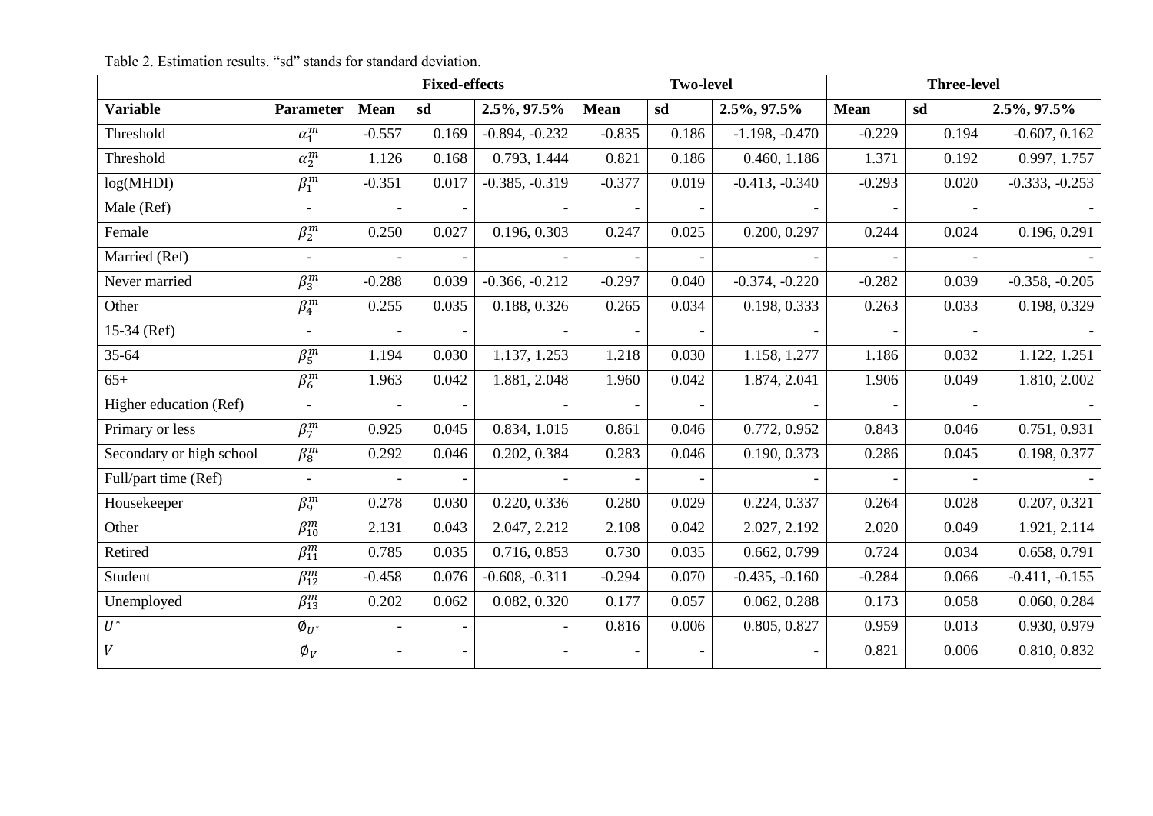|                          |                        |             | <b>Fixed-effects</b> |                  | <b>Two-level</b> |       | <b>Three-level</b> |          |       |                  |
|--------------------------|------------------------|-------------|----------------------|------------------|------------------|-------|--------------------|----------|-------|------------------|
| <b>Variable</b>          | <b>Parameter</b>       | <b>Mean</b> | sd                   | 2.5%, 97.5%      | <b>Mean</b>      | sd    | 2.5%, 97.5%        | Mean     | sd    | $2.5\%, 97.5\%$  |
| Threshold                | $\alpha_1^m$           | $-0.557$    | 0.169                | $-0.894, -0.232$ | $-0.835$         | 0.186 | $-1.198, -0.470$   | $-0.229$ | 0.194 | $-0.607, 0.162$  |
| Threshold                | $\alpha_2^m$           | 1.126       | 0.168                | 0.793, 1.444     | 0.821            | 0.186 | 0.460, 1.186       | 1.371    | 0.192 | 0.997, 1.757     |
| log(MHDI)                | $\overline{\beta_1^m}$ | $-0.351$    | 0.017                | $-0.385, -0.319$ | $-0.377$         | 0.019 | $-0.413, -0.340$   | $-0.293$ | 0.020 | $-0.333, -0.253$ |
| Male (Ref)               |                        |             |                      |                  |                  |       |                    |          |       |                  |
| Female                   | $\beta_2^m$            | 0.250       | 0.027                | 0.196, 0.303     | 0.247            | 0.025 | 0.200, 0.297       | 0.244    | 0.024 | 0.196, 0.291     |
| Married (Ref)            | $\blacksquare$         |             |                      |                  |                  |       |                    |          |       |                  |
| Never married            | $\beta_3^m$            | $-0.288$    | 0.039                | $-0.366, -0.212$ | $-0.297$         | 0.040 | $-0.374, -0.220$   | $-0.282$ | 0.039 | $-0.358, -0.205$ |
| Other                    | $\beta_4^m$            | 0.255       | 0.035                | 0.188, 0.326     | 0.265            | 0.034 | 0.198, 0.333       | 0.263    | 0.033 | 0.198, 0.329     |
| $15-34$ (Ref)            | $\blacksquare$         |             |                      |                  |                  |       |                    |          |       |                  |
| 35-64                    | $\overline{\beta_5^m}$ | 1.194       | 0.030                | 1.137, 1.253     | 1.218            | 0.030 | 1.158, 1.277       | 1.186    | 0.032 | 1.122, 1.251     |
| $65+$                    | $\overline{\beta_6^m}$ | 1.963       | 0.042                | 1.881, 2.048     | 1.960            | 0.042 | 1.874, 2.041       | 1.906    | 0.049 | 1.810, 2.002     |
| Higher education (Ref)   | $\overline{a}$         |             |                      |                  |                  |       |                    |          |       |                  |
| Primary or less          | $\overline{\beta_7^m}$ | 0.925       | 0.045                | 0.834, 1.015     | 0.861            | 0.046 | 0.772, 0.952       | 0.843    | 0.046 | 0.751, 0.931     |
| Secondary or high school | $\beta_8^m$            | 0.292       | 0.046                | 0.202, 0.384     | 0.283            | 0.046 | 0.190, 0.373       | 0.286    | 0.045 | 0.198, 0.377     |
| Full/part time (Ref)     |                        |             |                      |                  |                  |       |                    |          |       |                  |
| Housekeeper              | $\beta_9^m$            | 0.278       | 0.030                | 0.220, 0.336     | 0.280            | 0.029 | 0.224, 0.337       | 0.264    | 0.028 | 0.207, 0.321     |
| Other                    | $\beta_{10}^m$         | 2.131       | 0.043                | 2.047, 2.212     | 2.108            | 0.042 | 2.027, 2.192       | 2.020    | 0.049 | 1.921, 2.114     |
| Retired                  | $\beta_{11}^m$         | 0.785       | 0.035                | 0.716, 0.853     | 0.730            | 0.035 | 0.662, 0.799       | 0.724    | 0.034 | 0.658, 0.791     |
| Student                  | $\beta_{12}^m$         | $-0.458$    | 0.076                | $-0.608, -0.311$ | $-0.294$         | 0.070 | $-0.435, -0.160$   | $-0.284$ | 0.066 | $-0.411, -0.155$ |
| Unemployed               | $\beta_{13}^m$         | 0.202       | 0.062                | 0.082, 0.320     | 0.177            | 0.057 | 0.062, 0.288       | 0.173    | 0.058 | 0.060, 0.284     |
| $\overline{U^*}$         | $\emptyset_{U^*}$      |             |                      |                  | 0.816            | 0.006 | 0.805, 0.827       | 0.959    | 0.013 | 0.930, 0.979     |
| $\overline{V}$           | $\emptyset_V$          |             |                      |                  |                  |       |                    | 0.821    | 0.006 | 0.810, 0.832     |

|  | Table 2. Estimation results. "sd" stands for standard deviation. |
|--|------------------------------------------------------------------|
|--|------------------------------------------------------------------|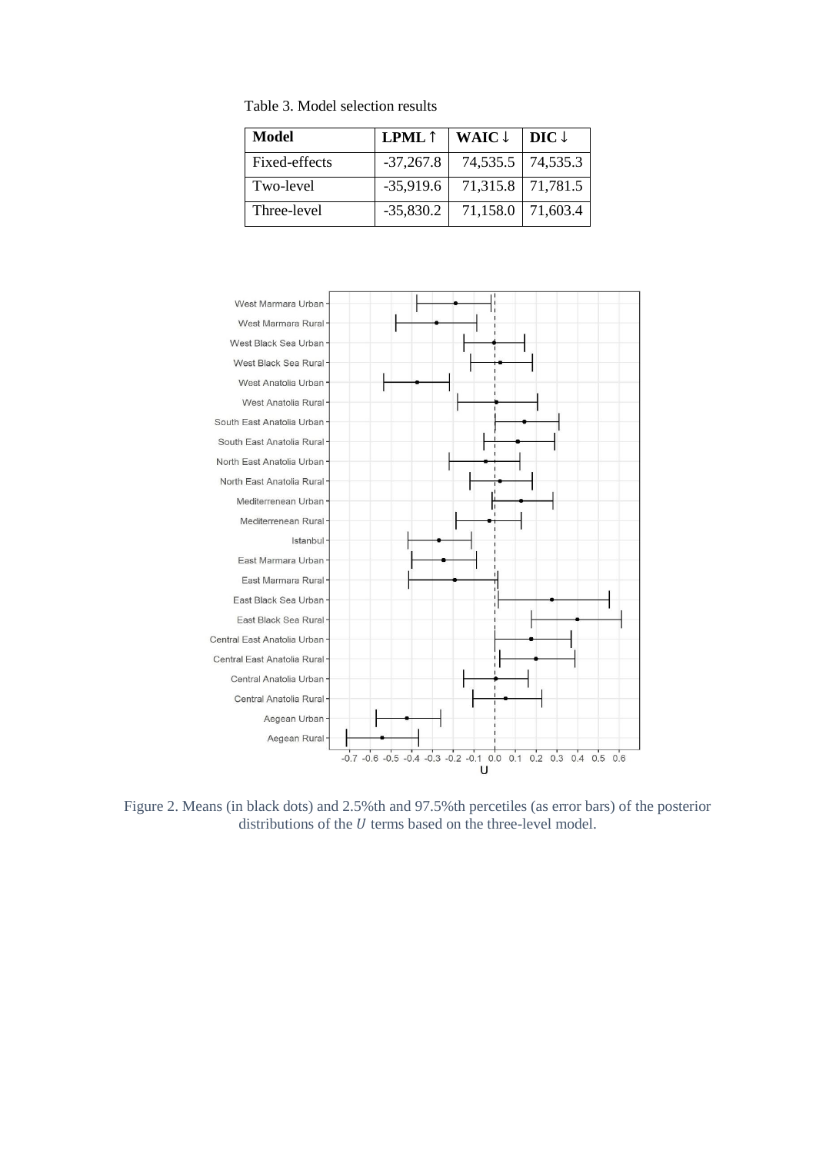| Model         | <b>LPML</b> $\uparrow$ | WAIC $\downarrow$ | DIC $\downarrow$ |
|---------------|------------------------|-------------------|------------------|
| Fixed-effects | $-37,267.8$            | 74,535.5 74,535.3 |                  |
| Two-level     | $-35,919.6$            | 71,315.8 71,781.5 |                  |
| Three-level   | $-35,830.2$            | 71,158.0          | 171,603.4        |

Table 3. Model selection results



Figure 2. Means (in black dots) and 2.5%th and 97.5%th percetiles (as error bars) of the posterior distributions of the  $U$  terms based on the three-level model.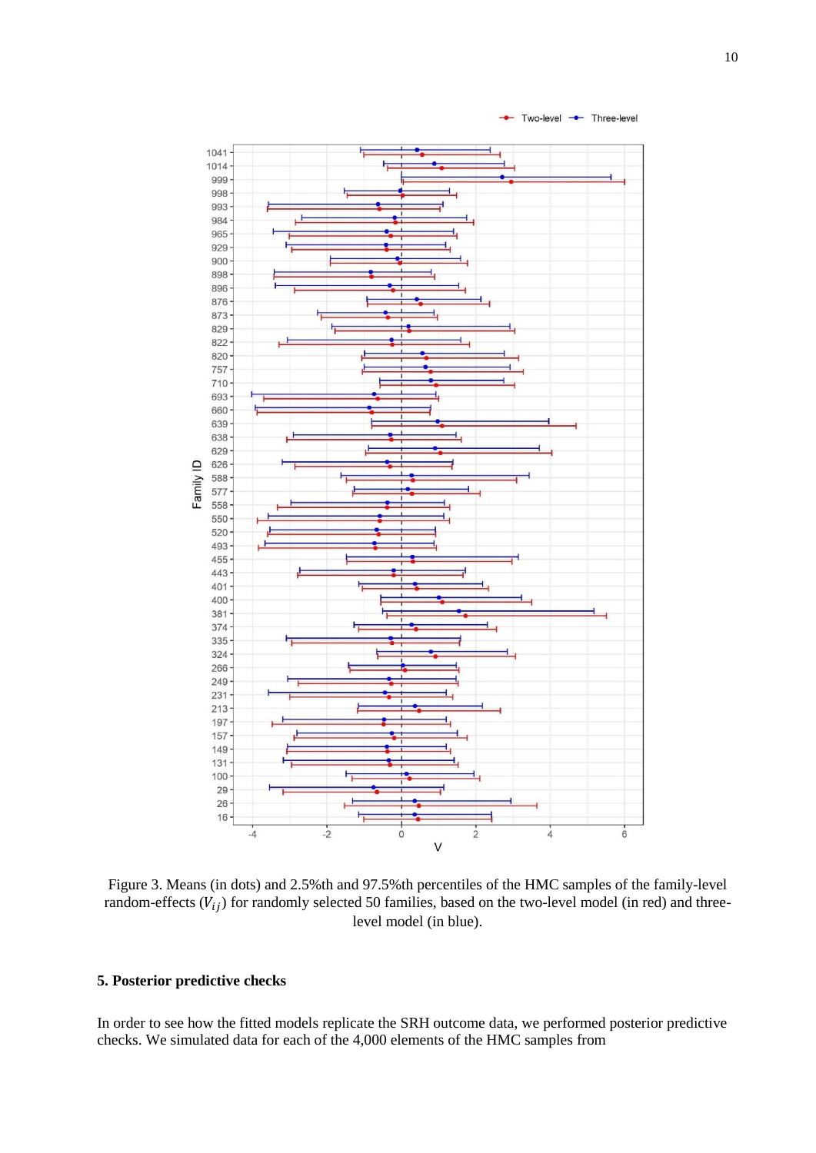

Figure 3. Means (in dots) and 2.5%th and 97.5%th percentiles of the HMC samples of the family-level random-effects  $(V_{ij})$  for randomly selected 50 families, based on the two-level model (in red) and threelevel model (in blue).

# **5. Posterior predictive checks**

In order to see how the fitted models replicate the SRH outcome data, we performed posterior predictive checks. We simulated data for each of the 4,000 elements of the HMC samples from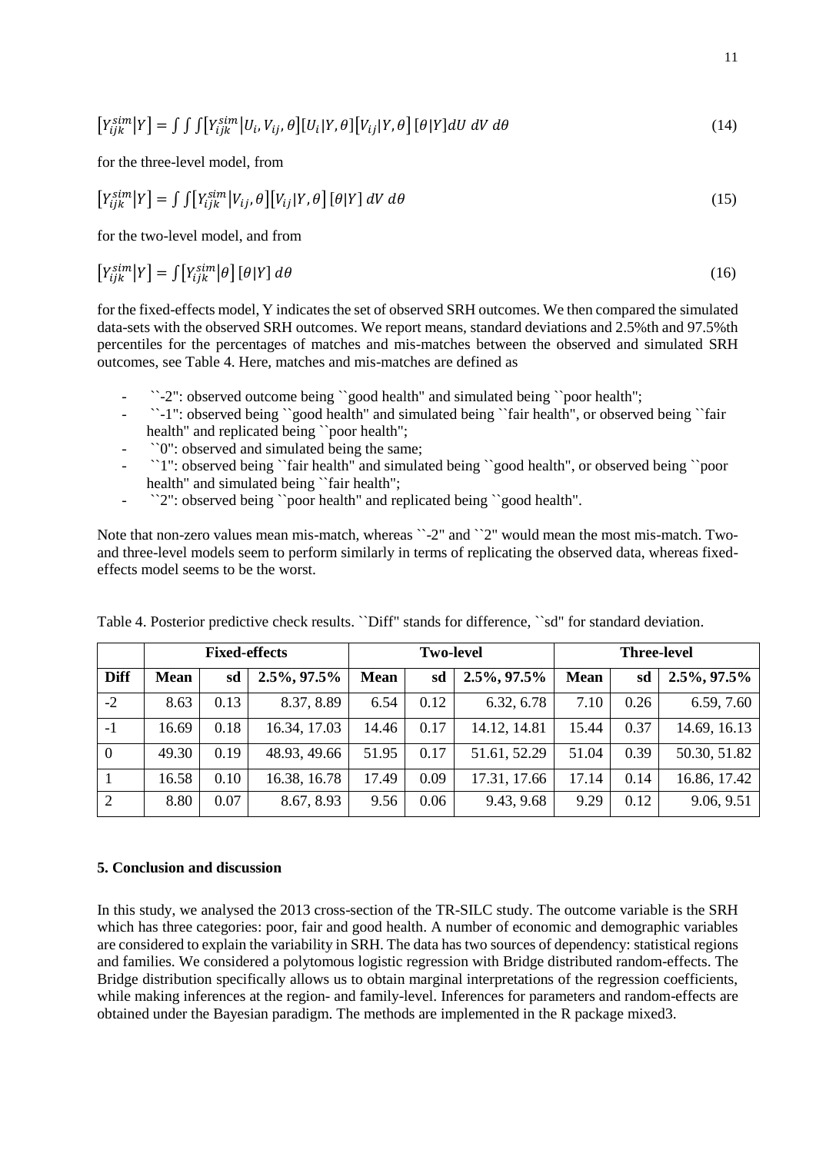$$
[Y_{ijk}^{sim}|Y] = \iint \int [Y_{ijk}^{sim}|U_i, V_{ij}, \theta][U_i|Y, \theta][V_{ij}|Y, \theta][\theta|Y]dU dV d\theta
$$
\n(14)

for the three-level model, from

$$
[Y_{ijk}^{sim}|Y] = \iint [Y_{ijk}^{sim}|V_{ij}, \theta][V_{ij}|Y, \theta][\theta|Y] dV d\theta
$$
\n(15)

for the two-level model, and from

$$
\left[Y_{ijk}^{sim}\middle|Y\right] = \int \left[Y_{ijk}^{sim}\middle|\theta\right]\left[\theta\middle|Y\right]d\theta\tag{16}
$$

for the fixed-effects model, Y indicates the set of observed SRH outcomes. We then compared the simulated data-sets with the observed SRH outcomes. We report means, standard deviations and 2.5%th and 97.5%th percentiles for the percentages of matches and mis-matches between the observed and simulated SRH outcomes, see Table 4. Here, matches and mis-matches are defined as

- ``-2": observed outcome being ``good health" and simulated being ``poor health";
- ``-1": observed being ``good health" and simulated being ``fair health", or observed being ``fair health" and replicated being ``poor health";
- ``0": observed and simulated being the same;
- ``1": observed being ``fair health" and simulated being ``good health", or observed being ``poor health" and simulated being 'fair health";
- ``2": observed being ``poor health" and replicated being ``good health".

Note that non-zero values mean mis-match, whereas ``-2" and ``2" would mean the most mis-match. Twoand three-level models seem to perform similarly in terms of replicating the observed data, whereas fixedeffects model seems to be the worst.

|                |             | <b>Fixed-effects</b> |                 |             | <b>Two-level</b> |                 | <b>Three-level</b> |      |              |
|----------------|-------------|----------------------|-----------------|-------------|------------------|-----------------|--------------------|------|--------------|
| <b>Diff</b>    | <b>Mean</b> | sd                   | $2.5\%, 97.5\%$ | <b>Mean</b> | sd               | $2.5\%, 97.5\%$ | <b>Mean</b>        | sd   | 2.5%, 97.5%  |
| $-2$           | 8.63        | 0.13                 | 8.37, 8.89      | 6.54        | 0.12             | 6.32, 6.78      | 7.10               | 0.26 | 6.59, 7.60   |
| $-1$           | 16.69       | 0.18                 | 16.34, 17.03    | 14.46       | 0.17             | 14.12, 14.81    | 15.44              | 0.37 | 14.69, 16.13 |
| $\overline{0}$ | 49.30       | 0.19                 | 48.93, 49.66    | 51.95       | 0.17             | 51.61, 52.29    | 51.04              | 0.39 | 50.30, 51.82 |
|                | 16.58       | 0.10                 | 16.38, 16.78    | 17.49       | 0.09             | 17.31, 17.66    | 17.14              | 0.14 | 16.86, 17.42 |
| $\overline{2}$ | 8.80        | 0.07                 | 8.67, 8.93      | 9.56        | 0.06             | 9.43, 9.68      | 9.29               | 0.12 | 9.06, 9.51   |

Table 4. Posterior predictive check results. ``Diff" stands for difference, ``sd" for standard deviation.

### **5. Conclusion and discussion**

In this study, we analysed the 2013 cross-section of the TR-SILC study. The outcome variable is the SRH which has three categories: poor, fair and good health. A number of economic and demographic variables are considered to explain the variability in SRH. The data has two sources of dependency: statistical regions and families. We considered a polytomous logistic regression with Bridge distributed random-effects. The Bridge distribution specifically allows us to obtain marginal interpretations of the regression coefficients, while making inferences at the region- and family-level. Inferences for parameters and random-effects are obtained under the Bayesian paradigm. The methods are implemented in the R package mixed3.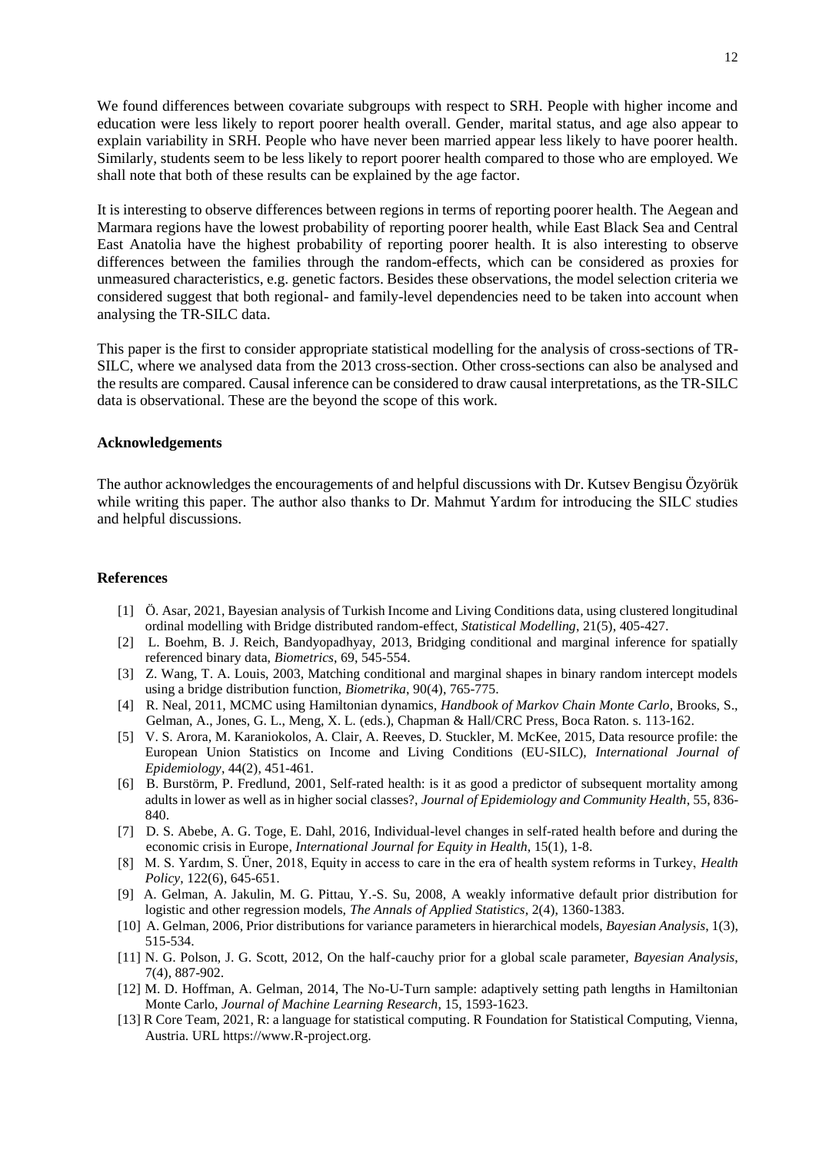We found differences between covariate subgroups with respect to SRH. People with higher income and education were less likely to report poorer health overall. Gender, marital status, and age also appear to explain variability in SRH. People who have never been married appear less likely to have poorer health. Similarly, students seem to be less likely to report poorer health compared to those who are employed. We shall note that both of these results can be explained by the age factor.

It is interesting to observe differences between regions in terms of reporting poorer health. The Aegean and Marmara regions have the lowest probability of reporting poorer health, while East Black Sea and Central East Anatolia have the highest probability of reporting poorer health. It is also interesting to observe differences between the families through the random-effects, which can be considered as proxies for unmeasured characteristics, e.g. genetic factors. Besides these observations, the model selection criteria we considered suggest that both regional- and family-level dependencies need to be taken into account when analysing the TR-SILC data.

This paper is the first to consider appropriate statistical modelling for the analysis of cross-sections of TR-SILC, where we analysed data from the 2013 cross-section. Other cross-sections can also be analysed and the results are compared. Causal inference can be considered to draw causal interpretations, as the TR-SILC data is observational. These are the beyond the scope of this work.

### **Acknowledgements**

The author acknowledges the encouragements of and helpful discussions with Dr. Kutsev Bengisu Özyörük while writing this paper. The author also thanks to Dr. Mahmut Yardım for introducing the SILC studies and helpful discussions.

## **References**

- [1] Ö. Asar, 2021, Bayesian analysis of Turkish Income and Living Conditions data, using clustered longitudinal ordinal modelling with Bridge distributed random-effect, *Statistical Modelling*, 21(5), 405-427.
- [2] L. Boehm, B. J. Reich, Bandyopadhyay, 2013, Bridging conditional and marginal inference for spatially referenced binary data, *Biometrics*, 69, 545-554.
- [3] Z. Wang, T. A. Louis, 2003, Matching conditional and marginal shapes in binary random intercept models using a bridge distribution function, *Biometrika*, 90(4), 765-775.
- [4] R. Neal, 2011, MCMC using Hamiltonian dynamics, *Handbook of Markov Chain Monte Carlo*, Brooks, S., Gelman, A., Jones, G. L., Meng, X. L. (eds.), Chapman & Hall/CRC Press, Boca Raton. s. 113-162.
- [5] V. S. Arora, M. Karaniokolos, A. Clair, A. Reeves, D. Stuckler, M. McKee, 2015, Data resource profile: the European Union Statistics on Income and Living Conditions (EU-SILC), *International Journal of Epidemiology*, 44(2), 451-461.
- [6] B. Burstörm, P. Fredlund, 2001, Self-rated health: is it as good a predictor of subsequent mortality among adults in lower as well as in higher social classes?, *Journal of Epidemiology and Community Health*, 55, 836- 840.
- [7] D. S. Abebe, A. G. Toge, E. Dahl, 2016, Individual-level changes in self-rated health before and during the economic crisis in Europe*, International Journal for Equity in Health*, 15(1), 1-8.
- [8] M. S. Yardım, S. Üner, 2018, Equity in access to care in the era of health system reforms in Turkey, *Health Policy*, 122(6), 645-651.
- [9] A. Gelman, A. Jakulin, M. G. Pittau, Y.-S. Su, 2008, A weakly informative default prior distribution for logistic and other regression models, *The Annals of Applied Statistics*, 2(4), 1360-1383.
- [10] A. Gelman, 2006, Prior distributions for variance parameters in hierarchical models, *Bayesian Analysis*, 1(3), 515-534.
- [11] N. G. Polson, J. G. Scott, 2012, On the half-cauchy prior for a global scale parameter, *Bayesian Analysis*, 7(4), 887-902.
- [12] M. D. Hoffman, A. Gelman, 2014, The No-U-Turn sample: adaptively setting path lengths in Hamiltonian Monte Carlo, *Journal of Machine Learning Research*, 15, 1593-1623.
- [13] R Core Team, 2021, R: a language for statistical computing. R Foundation for Statistical Computing, Vienna, Austria. URL https://www.R-project.org.